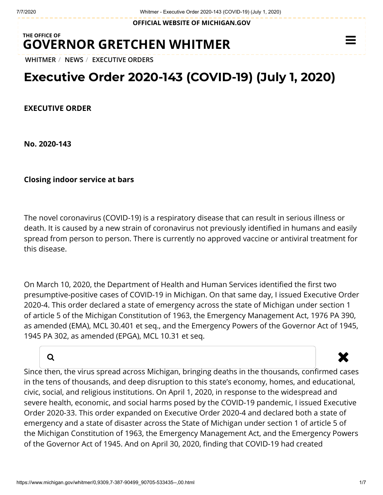**OFFICIAL WEBSITE OF [MICHIGAN.GOV](https://www.michigan.gov/)**

## **THE OFFICE OF GOVERNOR [GRETCHEN WHITMER](https://www.michigan.gov/whitmer/)**

**[WHITMER](https://www.michigan.gov/whitmer/)** / **[NEWS](https://www.michigan.gov/whitmer/0,9309,7-387-90499---,00.html)** / **[EXECUTIVE ORDERS](https://www.michigan.gov/whitmer/0,9309,7-387-90499_90705---,00.html)**

## **Executive Order 2020-143 (COVID-19) (July 1, 2020)**

**EXECUTIVE ORDER**

**No. 2020-143**

**Closing indoor service at bars**

The novel coronavirus (COVID-19) is a respiratory disease that can result in serious illness or death. It is caused by a new strain of coronavirus not previously identified in humans and easily spread from person to person. There is currently no approved vaccine or antiviral treatment for this disease.

On March 10, 2020, the Department of Health and Human Services identified the first two presumptive-positive cases of COVID-19 in Michigan. On that same day, I issued Executive Order 2020-4. This order declared a state of emergency across the state of Michigan under section 1 of article 5 of the Michigan Constitution of 1963, the Emergency Management Act, 1976 PA 390, as amended (EMA), MCL 30.401 et seq., and the Emergency Powers of the Governor Act of 1945, 1945 PA 302, as amended (EPGA), MCL 10.31 et seq.

## a and the set of the set of the set of the set of the set of the set of the set of the set of the set of the s

 $\equiv$ 

Since then, the virus spread across Michigan, bringing deaths in the thousands, confirmed cases in the tens of thousands, and deep disruption to this state's economy, homes, and educational, civic, social, and religious institutions. On April 1, 2020, in response to the widespread and severe health, economic, and social harms posed by the COVID-19 pandemic, I issued Executive Order 2020-33. This order expanded on Executive Order 2020-4 and declared both a state of emergency and a state of disaster across the State of Michigan under section 1 of article 5 of the Michigan Constitution of 1963, the Emergency Management Act, and the Emergency Powers of the Governor Act of 1945. And on April 30, 2020, finding that COVID-19 had created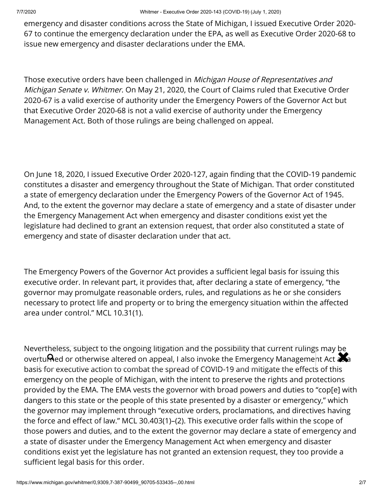emergency and disaster conditions across the State of Michigan, I issued Executive Order 2020- 67 to continue the emergency declaration under the EPA, as well as Executive Order 2020-68 to issue new emergency and disaster declarations under the EMA.

Those executive orders have been challenged in Michigan House of Representatives and Michigan Senate v. Whitmer. On May 21, 2020, the Court of Claims ruled that Executive Order 2020-67 is a valid exercise of authority under the Emergency Powers of the Governor Act but that Executive Order 2020-68 is not a valid exercise of authority under the Emergency Management Act. Both of those rulings are being challenged on appeal.

On June 18, 2020, I issued Executive Order 2020-127, again finding that the COVID-19 pandemic constitutes a disaster and emergency throughout the State of Michigan. That order constituted a state of emergency declaration under the Emergency Powers of the Governor Act of 1945. And, to the extent the governor may declare a state of emergency and a state of disaster under the Emergency Management Act when emergency and disaster conditions exist yet the legislature had declined to grant an extension request, that order also constituted a state of emergency and state of disaster declaration under that act.

The Emergency Powers of the Governor Act provides a sufficient legal basis for issuing this executive order. In relevant part, it provides that, after declaring a state of emergency, "the governor may promulgate reasonable orders, rules, and regulations as he or she considers necessary to protect life and property or to bring the emergency situation within the affected area under control." MCL 10.31(1).

Nevertheless, subject to the ongoing litigation and the possibility that current rulings may be **Nevertheress, subject to the origonig htigation and the possibility that current rulings may be**<br>overtu**me**d or otherwise altered on appeal, I also invoke the Emergency Management Act and basis for executive action to combat the spread of COVID-19 and mitigate the effects of this emergency on the people of Michigan, with the intent to preserve the rights and protections provided by the EMA. The EMA vests the governor with broad powers and duties to "cop[e] with dangers to this state or the people of this state presented by a disaster or emergency," which the governor may implement through "executive orders, proclamations, and directives having the force and effect of law." MCL 30.403(1)–(2). This executive order falls within the scope of those powers and duties, and to the extent the governor may declare a state of emergency and a state of disaster under the Emergency Management Act when emergency and disaster conditions exist yet the legislature has not granted an extension request, they too provide a sufficient legal basis for this order.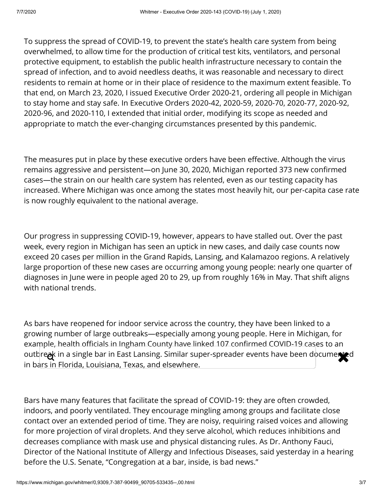To suppress the spread of COVID-19, to prevent the state's health care system from being overwhelmed, to allow time for the production of critical test kits, ventilators, and personal protective equipment, to establish the public health infrastructure necessary to contain the spread of infection, and to avoid needless deaths, it was reasonable and necessary to direct residents to remain at home or in their place of residence to the maximum extent feasible. To that end, on March 23, 2020, I issued Executive Order 2020-21, ordering all people in Michigan to stay home and stay safe. In Executive Orders 2020-42, 2020-59, 2020-70, 2020-77, 2020-92, 2020-96, and 2020-110, I extended that initial order, modifying its scope as needed and appropriate to match the ever-changing circumstances presented by this pandemic.

The measures put in place by these executive orders have been effective. Although the virus remains aggressive and persistent—on June 30, 2020, Michigan reported 373 new confirmed cases—the strain on our health care system has relented, even as our testing capacity has increased. Where Michigan was once among the states most heavily hit, our per-capita case rate is now roughly equivalent to the national average.

Our progress in suppressing COVID-19, however, appears to have stalled out. Over the past week, every region in Michigan has seen an uptick in new cases, and daily case counts now exceed 20 cases per million in the Grand Rapids, Lansing, and Kalamazoo regions. A relatively large proportion of these new cases are occurring among young people: nearly one quarter of diagnoses in June were in people aged 20 to 29, up from roughly 16% in May. That shift aligns with national trends.

As bars have reopened for indoor service across the country, they have been linked to a growing number of large outbreaks—especially among young people. Here in Michigan, for example, health officials in Ingham County have linked 107 confirmed COVID-19 cases to an outbreak in a single bar in East Lansing. Similar super-spreader events have been documented in bars in Florida, Louisiana, Texas, and elsewhere.

Bars have many features that facilitate the spread of COVID-19: they are often crowded, indoors, and poorly ventilated. They encourage mingling among groups and facilitate close contact over an extended period of time. They are noisy, requiring raised voices and allowing for more projection of viral droplets. And they serve alcohol, which reduces inhibitions and decreases compliance with mask use and physical distancing rules. As Dr. Anthony Fauci, Director of the National Institute of Allergy and Infectious Diseases, said yesterday in a hearing before the U.S. Senate, "Congregation at a bar, inside, is bad news."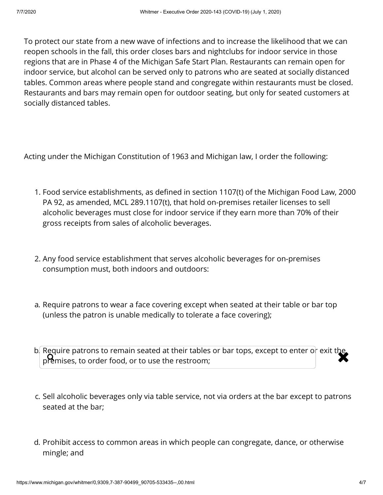To protect our state from a new wave of infections and to increase the likelihood that we can reopen schools in the fall, this order closes bars and nightclubs for indoor service in those regions that are in Phase 4 of the Michigan Safe Start Plan. Restaurants can remain open for indoor service, but alcohol can be served only to patrons who are seated at socially distanced tables. Common areas where people stand and congregate within restaurants must be closed. Restaurants and bars may remain open for outdoor seating, but only for seated customers at socially distanced tables.

Acting under the Michigan Constitution of 1963 and Michigan law, I order the following:

- 1. Food service establishments, as defined in section 1107(t) of the Michigan Food Law, 2000 PA 92, as amended, MCL 289.1107(t), that hold on-premises retailer licenses to sell alcoholic beverages must close for indoor service if they earn more than 70% of their gross receipts from sales of alcoholic beverages.
- 2. Any food service establishment that serves alcoholic beverages for on-premises consumption must, both indoors and outdoors:
- a. Require patrons to wear a face covering except when seated at their table or bar top (unless the patron is unable medically to tolerate a face covering);
- b. Require patrons to remain seated at their tables or bar tops, except to enter or exit the<br>premises, to order food, or to use the restroom; premises, to order food, or to use the restroom;
- c. Sell alcoholic beverages only via table service, not via orders at the bar except to patrons seated at the bar;
- d. Prohibit access to common areas in which people can congregate, dance, or otherwise mingle; and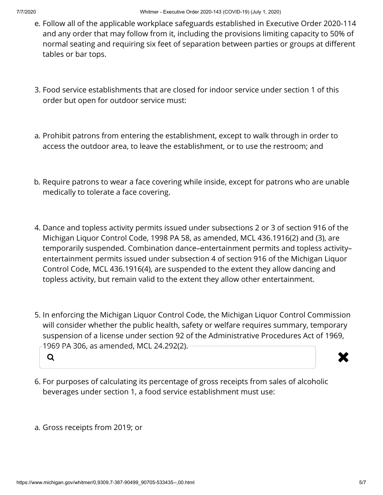- e. Follow all of the applicable workplace safeguards established in Executive Order 2020-114 and any order that may follow from it, including the provisions limiting capacity to 50% of normal seating and requiring six feet of separation between parties or groups at different tables or bar tops.
- 3. Food service establishments that are closed for indoor service under section 1 of this order but open for outdoor service must:
- a. Prohibit patrons from entering the establishment, except to walk through in order to access the outdoor area, to leave the establishment, or to use the restroom; and
- b. Require patrons to wear a face covering while inside, except for patrons who are unable medically to tolerate a face covering.
- 4. Dance and topless activity permits issued under subsections 2 or 3 of section 916 of the Michigan Liquor Control Code, 1998 PA 58, as amended, MCL 436.1916(2) and (3), are temporarily suspended. Combination dance–entertainment permits and topless activity– entertainment permits issued under subsection 4 of section 916 of the Michigan Liquor Control Code, MCL 436.1916(4), are suspended to the extent they allow dancing and topless activity, but remain valid to the extent they allow other entertainment.
- 5. In enforcing the Michigan Liquor Control Code, the Michigan Liquor Control Commission will consider whether the public health, safety or welfare requires summary, temporary suspension of a license under section 92 of the Administrative Procedures Act of 1969, 1969 PA 306, as amended, MCL 24.292(2).



- 6. For purposes of calculating its percentage of gross receipts from sales of alcoholic beverages under section 1, a food service establishment must use:
- a. Gross receipts from 2019; or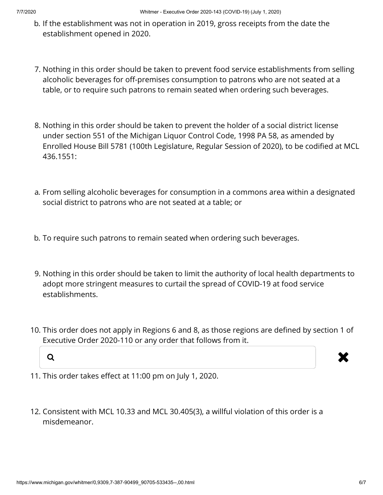- b. If the establishment was not in operation in 2019, gross receipts from the date the establishment opened in 2020.
- 7. Nothing in this order should be taken to prevent food service establishments from selling alcoholic beverages for off-premises consumption to patrons who are not seated at a table, or to require such patrons to remain seated when ordering such beverages.
- 8. Nothing in this order should be taken to prevent the holder of a social district license under section 551 of the Michigan Liquor Control Code, 1998 PA 58, as amended by Enrolled House Bill 5781 (100th Legislature, Regular Session of 2020), to be codified at MCL 436.1551:
- a. From selling alcoholic beverages for consumption in a commons area within a designated social district to patrons who are not seated at a table; or
- b. To require such patrons to remain seated when ordering such beverages.
- 9. Nothing in this order should be taken to limit the authority of local health departments to adopt more stringent measures to curtail the spread of COVID-19 at food service establishments.
- 10. This order does not apply in Regions 6 and 8, as those regions are defined by section 1 of Executive Order 2020-110 or any order that follows from it.





- 11. This order takes effect at 11:00 pm on July 1, 2020.
- 12. Consistent with MCL 10.33 and MCL 30.405(3), a willful violation of this order is a misdemeanor.